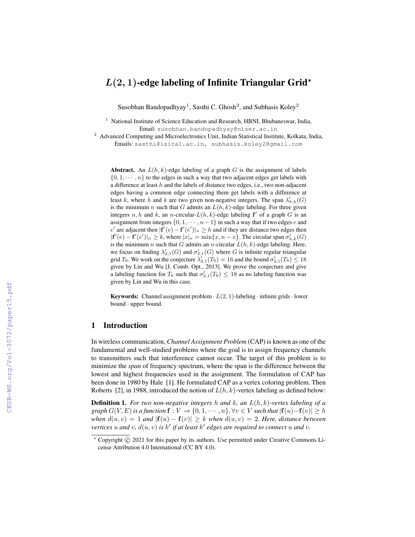# $L(2, 1)$ -edge labeling of Infinite Triangular Grid<sup>\*</sup>

Susobhan Bandopadhyay<sup>1</sup>, Sasthi C. Ghosh<sup>2</sup>, and Subhasis Koley<sup>2</sup>

<sup>1</sup> National Institute of Science Education and Research, HBNI, Bhubaneswar, India, Email: susobhan.bandopadhyay@niser.ac.in

<sup>2</sup> Advanced Computing and Microelectronics Unit, Indian Statistical Institute, Kolkata, India, Emails: sasthi@isical.ac.in, subhasis.koley2@gmail.com

Abstract. An  $L(h, k)$ -edge labeling of a graph G is the assignment of labels  $\{0, 1, \dots, n\}$  to the edges in such a way that two adjacent edges get labels with a difference at least  $h$  and the labels of distance two edges, i.e., two non-adjacent edges having a common edge connecting them get labels with a difference at least k, where h and k are two given non-negative integers. The span  $\lambda'_{h,k}(G)$ is the minimum n such that G admits an  $L(h, k)$ -edge labeling. For three given integers n, h and k, an n-circular- $L(h, k)$ -edge labeling  $f'$  of a graph G is an assignment from integers  $\{0, 1, \dots, n-1\}$  in such a way that if two edges e and e' are adjacent then  $|\mathbf{f}'(e) - \mathbf{f}'(e')|_n \geq h$  and if they are distance two edges then  $|\mathbf{f}'(e) - \mathbf{f}'(e')|_n \geq k$ , where  $|x|_n = \min\{x, n - x\}$ . The circular span  $\sigma'_{h,k}(G)$ is the minimum n such that G admits an n-circular  $L(h, k)$ -edge labeling. Here, we focus on finding  $\lambda'_{2,1}(G)$  and  $\sigma'_{2,1}(G)$  where G is infinite regular triangular grid  $T_6$ . We work on the conjecture  $\lambda'_{2,1}(T_6) = 16$  and the bound  $\sigma'_{2,1}(T_6) \le 18$ given by Lin and Wu [J. Comb. Opt., 2013]. We prove the conjecture and give a labeling function for  $T_6$  such that  $\sigma'_{2,1}(T_6) \leq 18$  as no labeling function was given by Lin and Wu in this case.

**Keywords:** Channel assignment problem  $\cdot$   $L(2, 1)$ -labeling  $\cdot$  infinite grids  $\cdot$  lower bound · upper bound.

## 1 Introduction

In wireless communication, *Channel Assignment Problem* (CAP) is known as one of the fundamental and well-studied problems where the goal is to assign frequency channels to transmitters such that interference cannot occur. The target of this problem is to minimize the *span* of frequency spectrum, where the span is the difference between the lowest and highest frequencies used in the assignment. The formulation of CAP has been done in 1980 by Hale [1]. He formulated CAP as a vertex coloring problem. Then Roberts [2], in 1988, introduced the notion of  $L(h, k)$ -vertex labeling as defined below:

Definition 1. *For two non-negative integers* h *and* k*, an* L(h, k)*-vertex labeling of a graph*  $G(V, E)$  *is a function*  $f: V \to \{0, 1, \dots, n\}, \forall v \in V$  *such that*  $|f(u)-f(v)| \geq h$ *when*  $d(u, v) = 1$  *and*  $|f(u) - f(v)| \geq k$  *when*  $d(u, v) = 2$ *. Here, distance between* vertices u and v,  $d(u, v)$  is  $k'$  if at least  $k'$  edges are required to connect u and v.

 $*$  Copyright  $\circled{c}$  2021 for this paper by its authors. Use permitted under Creative Commons License Attribution 4.0 International (CC BY 4.0).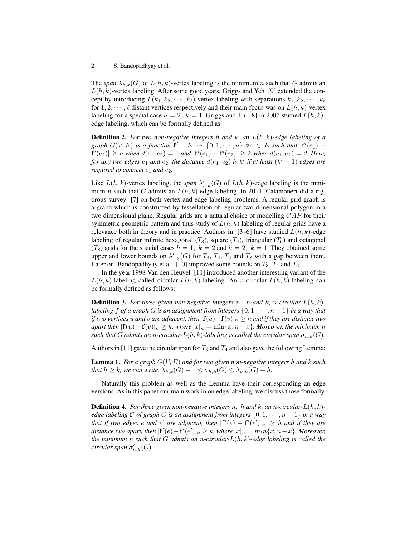The *span*  $\lambda_{h,k}(G)$  of  $L(h,k)$ -vertex labeling is the minimum n such that G admits an  $L(h, k)$ -vertex labeling. After some good years, Griggs and Yeh [9] extended the concept by introducing  $L(k_1, k_2, \dots, k_\ell)$ -vertex labeling with separations  $k_1, k_2, \dots, k_\ell$ for  $1, 2, \dots, \ell$  distant vertices respectively and their main focus was on  $L(h, k)$ -vertex labeling for a special case  $h = 2$ ,  $k = 1$ . Griggs and Jin [8] in 2007 studied  $L(h, k)$ edge labeling, which can be formally defined as:

Definition 2. *For two non-negative integers* h *and* k*, an* L(h, k)*-edge labeling of a graph*  $G(V, E)$  *is a function*  $f' : E \to \{0, 1, \dots, n\}, \forall e \in E$  *such that*  $|f'(e_1) - f'(e_2)|$  $\mathbf{f}'(e_2) \geq h$  when  $d(e_1, e_2) = 1$  and  $|\mathbf{f}'(e_1) - \mathbf{f}'(e_2)| \geq k$  when  $d(e_1, e_2) = 2$ . Here, *for any two edges*  $e_1$  *and*  $e_2$ *, the distance*  $d(e_1, e_2)$  *is*  $k'$  *if at least*  $(k' - 1)$  *edges are required to connect*  $e_1$  *and*  $e_2$ *.* 

Like  $L(h, k)$ -vertex labeling, the *span*  $\lambda'_{h,k}(G)$  of  $L(h, k)$ -edge labeling is the minimum n such that G admits an  $L(h, k)$ -edge labeling. In 2011, Calamoneri did a rigorous survey [7] on both vertex and edge labeling problems. A regular grid graph is a graph which is constructed by tessellation of regular two dimensional polygon in a two dimensional plane. Regular grids are a natural choice of modelling CAP for their symmetric geometric pattern and thus study of  $L(h, k)$  labeling of regular grids have a relevance both in theory and in practice. Authors in [3–6] have studied  $L(h, k)$ -edge labeling of regular infinite hexagonal  $(T_3)$ , square  $(T_4)$ , triangular  $(T_6)$  and octagonal  $(T_8)$  grids for the special cases  $h = 1$ ,  $k = 2$  and  $h = 2$ ,  $k = 1$ . They obtained some upper and lower bounds on  $\lambda'_{1,2}(G)$  for  $T_3$ ,  $T_4$ ,  $T_6$  and  $T_8$  with a gap between them. Later on, Bandopadhyay et al. [10] improved some bounds on  $T_3$ ,  $T_4$  and  $T_6$ .

In the year 1998 Van den Heuvel [11] introduced another interesting variant of the  $L(h, k)$ -labeling called circular- $L(h, k)$ -labeling. An n-circular- $L(h, k)$ -labeling can be formally defined as follows:

Definition 3. *For three given non-negative integers* n, h *and* k*,* n*-circular-*L(h, k) *labeling* f *of a graph* G *is an assignment from integers*  $\{0, 1, \dots, n-1\}$  *in a way that if two vertices* u and v are adjacent, then  $|f(u)-f(v)|_n \geq h$  and if they are distance two *apart then*  $|f(u)-f(v)|_n \geq k$ , where  $|x|_n = \min\{x, n-x\}$ . Moreover, the minimum n *such that* G admits an *n*-circular- $L(h, k)$ -labeling is called the circular span  $\sigma_{h,k}(G)$ .

Authors in [11] gave the circular span for  $T_3$  and  $T_4$  and also gave the following Lemma:

Lemma 1. *For a graph* G(V, E) *and for two given non-negative integers* h *and* k *such that*  $h \geq k$ *, we can write,*  $\lambda_{h,k}(G) + 1 \leq \sigma_{h,k}(G) \leq \lambda_{h,k}(G) + h$ *.* 

Naturally this problem as well as the Lemma have their corresponding an edge versions. As in this paper our main work in on edge labeling, we discuss those formally.

Definition 4. *For three given non-negative integers* n, h *and* k*, an* n*-circular-*L(h, k) *edge labeling* f <sup>0</sup> *of graph* G *is an assignment from integers* {0, 1, · · · , n − 1} *in a way that if two edges e and e' are adjacent, then*  $|{\bf f}'(e) - {\bf f}'(e')|_n \geq h$  *and if they are* distance two apart, then  $|\mathbf{f}'(e) - \mathbf{f}'(e')|_n \geq k$ , where  $|x|_n = min\{x, n-x\}$ . Moreover, *the minimum* n *such that* G *admits an* n*-circular-*L(h, k)*-edge labeling is called the*  $circular$  span  $\sigma'_{h,k}(G)$ .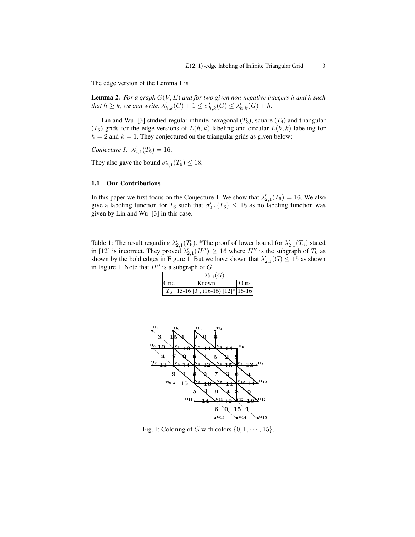The edge version of the Lemma 1 is

Lemma 2. *For a graph* G(V, E) *and for two given non-negative integers* h *and* k *such* that  $h \geq k$ , we can write,  $\lambda'_{h,k}(G) + 1 \leq \sigma'_{h,k}(G) \leq \lambda'_{h,k}(G) + h$ .

Lin and Wu [3] studied regular infinite hexagonal  $(T_3)$ , square  $(T_4)$  and triangular  $(T_6)$  grids for the edge versions of  $L(h, k)$ -labeling and circular- $L(h, k)$ -labeling for  $h = 2$  and  $k = 1$ . They conjectured on the triangular grids as given below:

*Conjecture 1.*  $\lambda'_{2,1}(T_6) = 16$ .

They also gave the bound  $\sigma'_{2,1}(T_6) \leq 18$ .

#### 1.1 Our Contributions

In this paper we first focus on the Conjecture 1. We show that  $\lambda'_{2,1}(T_6) = 16$ . We also give a labeling function for  $T_6$  such that  $\sigma'_{2,1}(T_6) \leq 18$  as no labeling function was given by Lin and Wu [3] in this case.

Table 1: The result regarding  $\lambda'_{2,1}(T_6)$ . \*The proof of lower bound for  $\lambda'_{2,1}(T_6)$  stated in [12] is incorrect. They proved  $\lambda'_{2,1}(H'') \geq 16$  where  $H''$  is the subgraph of  $T_6$  as shown by the bold edges in Figure 1. But we have shown that  $\lambda'_{2,1}(G) \leq 15$  as shown in Figure 1. Note that  $H''$  is a subgraph of  $G$ .

|       | $\lambda'_{2,1}(G)$                                                                                                     |      |
|-------|-------------------------------------------------------------------------------------------------------------------------|------|
| Gridl | Known                                                                                                                   | Ours |
|       | $\left[15\text{-}16\left[3\right],\left(16\text{-}\overline{16}\right)\left[12\right]*\left 16\text{-}16\right \right]$ |      |



Fig. 1: Coloring of G with colors  $\{0, 1, \dots, 15\}$ .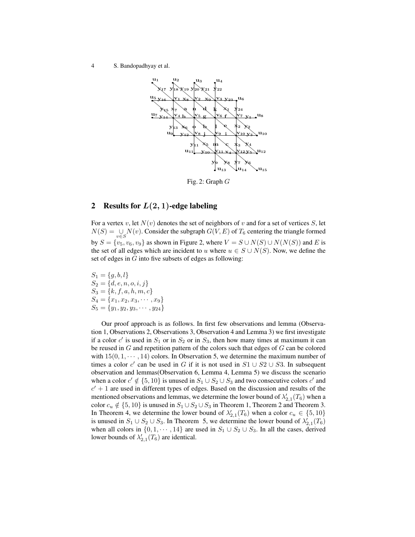

Fig. 2: Graph G

## 2 Results for  $L(2, 1)$ -edge labeling

For a vertex v, let  $N(v)$  denotes the set of neighbors of v and for a set of vertices S, let  $N(S) = \bigcup_{v \in S} N(v)$ . Consider the subgraph  $G(V, E)$  of  $T_6$  centering the triangle formed by  $S = \{v_5, v_6, v_9\}$  as shown in Figure 2, where  $V = S \cup N(S) \cup N(N(S))$  and E is the set of all edges which are incident to u where  $u \in S \cup N(S)$ . Now, we define the set of edges in G into five subsets of edges as following:

 $S_1 = \{g, b, l\}$  $S_2 = \{d, e, n, o, i, j\}$  $S_3 = \{k, f, a, h, m, c\}$  $S_4 = \{x_1, x_2, x_3, \cdots, x_9\}$  $S_5 = \{y_1, y_2, y_3, \cdots, y_{24}\}$ 

Our proof approach is as follows. In first few observations and lemma (Observation 1, Observations 2, Observations 3, Observation 4 and Lemma 3) we first investigate if a color  $c'$  is used in  $S_1$  or in  $S_2$  or in  $S_3$ , then how many times at maximum it can be reused in  $G$  and repetition pattern of the colors such that edges of  $G$  can be colored with  $15(0, 1, \dots, 14)$  colors. In Observation 5, we determine the maximum number of times a color c' can be used in G if it is not used in  $S1 \cup S2 \cup S3$ . In subsequent observation and lemmas(Observation 6, Lemma 4, Lemma 5) we discuss the scenario when a color  $c' \notin \{5, 10\}$  is unused in  $S_1 \cup S_2 \cup S_3$  and two consecutive colors  $c'$  and  $c' + 1$  are used in different types of edges. Based on the discussion and results of the mentioned observations and lemmas, we determine the lower bound of  $\lambda'_{2,1}(T_6)$  when a color  $c_u \notin \{5, 10\}$  is unused in  $S_1 \cup S_2 \cup S_3$  in Theorem 1, Theorem 2 and Theorem 3. In Theorem 4, we determine the lower bound of  $\lambda'_{2,1}(T_6)$  when a color  $c_u \in \{5, 10\}$ is unused in  $S_1 \cup S_2 \cup S_3$ . In Theorem 5, we determine the lower bound of  $\lambda'_{2,1}(T_6)$ when all colors in  $\{0, 1, \dots, 14\}$  are used in  $S_1 \cup S_2 \cup S_3$ . In all the cases, derived lower bounds of  $\lambda'_{2,1}(T_6)$  are identical.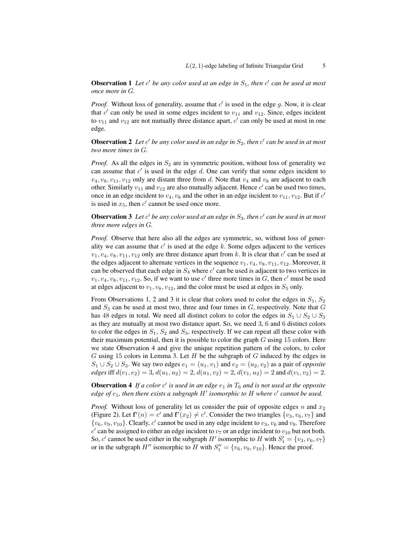Observation 1 Let c' be any color used at an edge in  $S_1$ , then c' can be used at most *once more in* G*.*

*Proof.* Without loss of generality, assume that  $c'$  is used in the edge g. Now, it is clear that  $c'$  can only be used in some edges incident to  $v_{11}$  and  $v_{12}$ . Since, edges incident to  $v_{11}$  and  $v_{12}$  are not mutually three distance apart,  $c'$  can only be used at most in one edge.

**Observation 2** Let c' be any color used in an edge in  $S_2$ , then c' can be used in at most *two more times in* G*.*

*Proof.* As all the edges in  $S_2$  are in symmetric position, without loss of generality we can assume that  $c'$  is used in the edge  $d$ . One can verify that some edges incident to  $v_4, v_8, v_{11}, v_{12}$  only are distant three from d. Note that  $v_4$  and  $v_8$  are adjacent to each other. Similarly  $v_{11}$  and  $v_{12}$  are also mutually adjacent. Hence  $c'$  can be used two times, once in an edge incident to  $v_4$ ,  $v_8$  and the other in an edge incident to  $v_{11}$ ,  $v_{12}$ . But if  $c'$ is used in  $x_5$ , then  $c'$  cannot be used once more.

**Observation 3** Let c' be any color used at an edge in  $S_3$ , then c' can be used in at most *three more edges in* G*.*

*Proof.* Observe that here also all the edges are symmetric, so, without loss of generality we can assume that  $c'$  is used at the edge k. Some edges adjacent to the vertices  $v_1, v_4, v_8, v_{11}, v_{12}$  only are three distance apart from k. It is clear that  $c'$  can be used at the edges adjacent to alternate vertices in the sequence  $v_1, v_4, v_8, v_{11}, v_{12}$ . Moreover, it can be observed that each edge in  $S_4$  where  $c'$  can be used is adjacent to two vertices in  $v_1, v_4, v_8, v_{11}, v_{12}$ . So, if we want to use c' three more times in G, then c' must be used at edges adjacent to  $v_1, v_8, v_{12}$ , and the color must be used at edges in  $S_5$  only.

From Observations 1, 2 and 3 it is clear that colors used to color the edges in  $S_1$ ,  $S_2$ and  $S_3$  can be used at most two, three and four times in  $G$ , respectively. Note that  $G$ has 48 edges in total. We need all distinct colors to color the edges in  $S_1 \cup S_2 \cup S_3$ as they are mutually at most two distance apart. So, we need 3, 6 and 6 distinct colors to color the edges in  $S_1$ ,  $S_2$  and  $S_3$ , respectively. If we can repeat all these color with their maximum potential, then it is possible to color the graph  $G$  using 15 colors. Here we state Observation 4 and give the unique repetition pattern of the colors, to color G using 15 colors in Lemma 3. Let  $H$  be the subgraph of  $G$  induced by the edges in  $S_1 \cup S_2 \cup S_3$ . We say two edges  $e_1 = (u_1, v_1)$  and  $e_2 = (u_2, v_2)$  as a pair of *opposite edges* iff  $d(e_1, e_2) = 3$ ,  $d(u_1, u_2) = 2$ ,  $d(u_1, v_2) = 2$ ,  $d(v_1, u_2) = 2$  and  $d(v_1, v_2) = 2$ .

**Observation 4** If a color  $c'$  is used in an edge  $e_1$  in  $T_6$  and is not used at the opposite  $ed$ ge of  $e_1$ , then there exists a subgraph  $H'$  isomorphic to  $H$  where  $c'$  cannot be used.

*Proof.* Without loss of generality let us consider the pair of opposite edges n and  $x_2$ (Figure 2). Let  $f'(n) = c'$  and  $f'(x_2) \neq c'$ . Consider the two triangles  $\{v_3, v_6, v_7\}$  and  ${v_6, v_9, v_{10}}$ . Clearly, c' cannot be used in any edge incident to  $v_3, v_6$  and  $v_9$ . Therefore  $c'$  can be assigned to either an edge incident to  $v_7$  or an edge incident to  $v_{10}$  but not both. So, c' cannot be used either in the subgraph H' isomorphic to H with  $S_1' = \{v_3, v_6, v_7\}$ or in the subgraph  $H''$  isomorphic to  $H$  with  $S_1'' = \{v_6, v_9, v_{10}\}\.$  Hence the proof.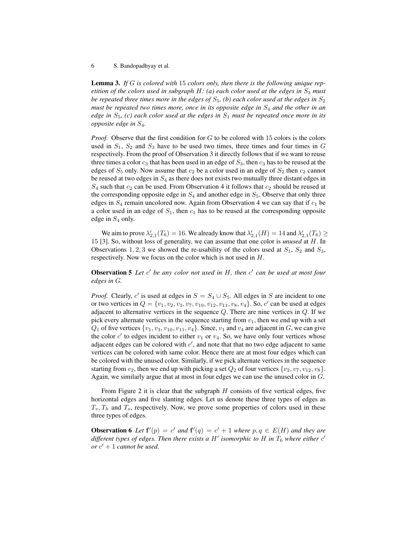Lemma 3. *If* G *is colored with* 15 *colors only, then there is the following unique repetition of the colors used in subgraph H: (a) each color used at the edges in*  $S_3$  *must be repeated three times more in the edges of*  $S_5$ , (*b*) each color used at the edges in  $S_2$ *must be repeated two times more, once in its opposite edge in*  $S_4$  *and the other in an edge in*  $S_5$ , (c) each color used at the edges in  $S_1$  must be repeated once more in its *opposite edge in* S4*.*

*Proof.* Observe that the first condition for G to be colored with 15 colors is the colors used in  $S_1$ ,  $S_2$  and  $S_3$  have to be used two times, three times and four times in G respectively. From the proof of Observation 3 it directly follows that if we want to reuse three times a color  $c_3$  that has been used in an edge of  $S_3$ , then  $c_3$  has to be reused at the edges of  $S_5$  only. Now assume that  $c_2$  be a color used in an edge of  $S_2$  then  $c_2$  cannot be reused at two edges in  $S_4$  as there does not exists two mutually three distant edges in  $S_4$  such that  $c_2$  can be used. From Observation 4 it follows that  $c_2$  should be reused at the corresponding opposite edge in  $S_4$  and another edge in  $S_5$ . Observe that only three edges in  $S_4$  remain uncolored now. Again from Observation 4 we can say that if  $c_1$  be a color used in an edge of  $S_1$ , then  $c_1$  has to be reused at the corresponding opposite edge in  $S_4$  only.

We aim to prove  $\lambda'_{2,1}(T_6) = 16$ . We already know that  $\lambda'_{2,1}(H) = 14$  and  $\lambda'_{2,1}(T_6) \ge$ 15 [3]. So, without loss of generality, we can assume that one color is *unused* at H. In Observations 1, 2, 3 we showed the re-usability of the colors used at  $S_1$ ,  $S_2$  and  $S_3$ , respectively. Now we focus on the color which is not used in H.

Observation 5 Let c' be any color not used in H, then c' can be used at most four *edges in* G*.*

*Proof.* Clearly, c' is used at edges in  $S = S_4 \cup S_5$ . All edges in S are incident to one or two vertices in  $Q = \{v_1, v_2, v_3, v_7, v_{10}, v_{12}, v_{11}, v_8, v_4\}$ . So,  $c'$  can be used at edges adjacent to alternative vertices in the sequence  $Q$ . There are nine vertices in  $Q$ . If we pick every alternate vertices in the sequence starting from  $v_1$ , then we end up with a set  $Q_1$  of five vertices  $\{v_1, v_3, v_{10}, v_{11}, v_4\}$ . Since,  $v_1$  and  $v_4$  are adjacent in G, we can give the color  $c'$  to edges incident to either  $v_1$  or  $v_4$ . So, we have only four vertices whose adjacent edges can be colored with  $c'$ , and note that that no two edge adjacent to same vertices can be colored with same color. Hence there are at most four edges which can be colored with the unused color. Similarly, if we pick alternate vertices in the sequence starting from  $v_2$ , then we end up with picking a set  $Q_2$  of four vertices  $\{v_2, v_7, v_{12}, v_8\}$ . Again, we similarly argue that at most in four edges we can use the unused color in G.

From Figure 2 it is clear that the subgraph  $H$  consists of five vertical edges, five horizontal edges and five slanting edges. Let us denote these three types of edges as  $T_v, T_h$  and  $T_s$ , respectively. Now, we prove some properties of colors used in these three types of edges.

**Observation 6** Let  $f'(p) = c'$  and  $f'(q) = c' + 1$  where  $p, q \in E(H)$  and they are different types of edges. Then there exists a H' isomorphic to H in  $T_6$  where either  $c'$  $\int$  *or*  $c' + 1$  *cannot be used.*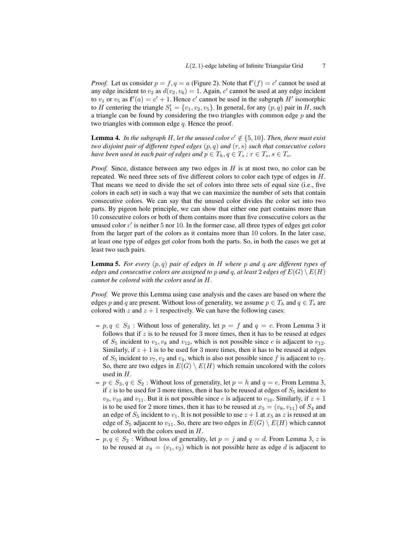*Proof.* Let us consider  $p = f$ ,  $q = a$  (Figure 2). Note that  $f'(f) = c'$  cannot be used at any edge incident to  $v_2$  as  $d(v_2, v_6) = 1$ . Again, c' cannot be used at any edge incident to  $v_1$  or  $v_5$  as  $f'(a) = c' + 1$ . Hence c' cannot be used in the subgraph H' isomorphic to H centering the triangle  $S_1' = \{v_1, v_2, v_5\}$ . In general, for any  $(p, q)$  pair in H, such a triangle can be found by considering the two triangles with common edge  $p$  and the two triangles with common edge  $q$ . Hence the proof.

**Lemma 4.** In the subgraph H, let the unused color  $c' \notin \{5, 10\}$ . Then, there must exist *two disjoint pair of different typed edges* (p, q) *and* (r, s) *such that consecutive colors have been used in each pair of edges and*  $p \in T_h, q \in T_s$ ,  $r \in T_s, s \in T_v$ .

*Proof.* Since, distance between any two edges in H is at most two, no color can be repeated. We need three sets of five different colors to color each type of edges in  $H$ . That means we need to divide the set of colors into three sets of equal size (i.e., five colors in each set) in such a way that we can maximize the number of sets that contain consecutive colors. We can say that the unused color divides the color set into two parts. By pigeon hole principle, we can show that either one part contains more than 10 consecutive colors or both of them contains more than five consecutive colors as the unused color  $c'$  is neither 5 nor 10. In the former case, all three types of edges get color from the larger part of the colors as it contains more than 10 colors. In the later case, at least one type of edges get color from both the parts. So, in both the cases we get at least two such pairs.

Lemma 5. *For every* (p, q) *pair of edges in* H *where* p *and* q *are different types of edges and consecutive colors are assigned to p and q, at least 2 edges of*  $E(G) \setminus E(H)$ *cannot be colored with the colors used in* H*.*

*Proof.* We prove this Lemma using case analysis and the cases are based on where the edges p and q are present. Without loss of generality, we assume  $p \in T_h$  and  $q \in T_s$  are colored with z and  $z + 1$  respectively. We can have the following cases:

- $-p, q \in S_3$ : Without loss of generality, let  $p = f$  and  $q = c$ . From Lemma 3 it follows that if  $z$  is to be reused for 3 more times, then it has to be reused at edges of  $S_5$  incident to  $v_1, v_8$  and  $v_{12}$ , which is not possible since c is adjacent to  $v_{12}$ . Similarly, if  $z + 1$  is to be used for 3 more times, then it has to be reused at edges of  $S_5$  incident to  $v_7$ ,  $v_2$  and  $v_4$ , which is also not possible since f is adjacent to  $v_7$ . So, there are two edges in  $E(G) \setminus E(H)$  which remain uncolored with the colors used in  $H$ .
- $p \in S_3, q \in S_2$ : Without loss of generality, let  $p = h$  and  $q = e$ . From Lemma 3, if  $z$  is to be used for 3 more times, then it has to be reused at edges of  $S_5$  incident to  $v_3$ ,  $v_{10}$  and  $v_{11}$ . But it is not possible since *e* is adjacent to  $v_{10}$ . Similarly, if  $z + 1$ is to be used for 2 more times, then it has to be reused at  $x_5 = (v_8, v_{11})$  of  $S_4$  and an edge of  $S_5$  incident to  $v_1$ . It is not possible to use  $z + 1$  at  $x_5$  as z is reused at an edge of  $S_5$  adjacent to  $v_{11}$ . So, there are two edges in  $E(G) \setminus E(H)$  which cannot be colored with the colors used in H.
- $-p, q \in S_2$ : Without loss of generality, let  $p = j$  and  $q = d$ . From Lemma 3, z is to be reused at  $x_8 = (v_1, v_2)$  which is not possible here as edge d is adjacent to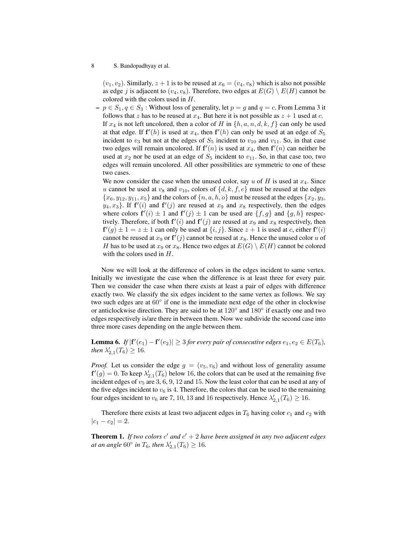$(v_1, v_2)$ . Similarly,  $z + 1$  is to be reused at  $x_6 = (v_4, v_8)$  which is also not possible as edge j is adjacent to  $(v_4, v_8)$ . Therefore, two edges at  $E(G) \setminus E(H)$  cannot be colored with the colors used in H.

 $-p \in S_1, q \in S_3$ : Without loss of generality, let  $p = g$  and  $q = c$ . From Lemma 3 it follows that z has to be reused at  $x_4$ . But here it is not possible as  $z + 1$  used at c. If  $x_4$  is not left uncolored, then a color of H in  $\{h, a, n, d, k, f\}$  can only be used at that edge. If  $f'(h)$  is used at  $x_4$ , then  $f'(h)$  can only be used at an edge of  $S_5$ incident to  $v_3$  but not at the edges of  $S_5$  incident to  $v_{10}$  and  $v_{11}$ . So, in that case two edges will remain uncolored. If  $f'(n)$  is used at  $x_4$ , then  $f'(n)$  can neither be used at  $x_2$  nor be used at an edge of  $S_5$  incident to  $v_{11}$ . So, in that case too, two edges will remain uncolored. All other possibilities are symmetric to one of these two cases.

We now consider the case when the unused color, say u of H is used at  $x_4$ . Since u cannot be used at  $v_8$  and  $v_{10}$ , colors of  $\{d, k, f, e\}$  must be reused at the edges  ${x_6, y_{12}, y_{11}, x_5}$  and the colors of  ${n, a, h, o}$  must be reused at the edges  ${x_2, y_3}$ ,  $y_4, x_3$ . If  $f'(i)$  and  $f'(j)$  are reused at  $x_9$  and  $x_8$  respectively, then the edges where colors  $f'(i) \pm 1$  and  $f'(j) \pm 1$  can be used are  $\{f, g\}$  and  $\{g, h\}$  respectively. Therefore, if both  $f'(i)$  and  $f'(j)$  are reused at  $x_9$  and  $x_8$  respectively, then  $f'(g) \pm 1 = z \pm 1$  can only be used at  $\{i, j\}$ . Since  $z + 1$  is used at c, either  $f'(i)$ cannot be reused at  $x_9$  or  $f'(j)$  cannot be reused at  $x_8$ . Hence the unused color u of H has to be used at  $x_9$  or  $x_8$ . Hence two edges at  $E(G) \setminus E(H)$  cannot be colored with the colors used in H.

Now we will look at the difference of colors in the edges incident to same vertex. Initially we investigate the case when the difference is at least three for every pair. Then we consider the case when there exists at least a pair of edges with difference exactly two. We classify the six edges incident to the same vertex as follows. We say two such edges are at 60° if one is the immediate next edge of the other in clockwise or anticlockwise direction. They are said to be at 120° and 180° if exactly one and two edges respectively is/are there in between them. Now we subdivide the second case into three more cases depending on the angle between them.

**Lemma 6.** If  $|\mathbf{f}'(e_1) - \mathbf{f}'(e_2)| \geq 3$  for every pair of consecutive edges  $e_1, e_2 \in E(T_6)$ , *then*  $\lambda'_{2,1}(T_6) \ge 16$ *.* 

*Proof.* Let us consider the edge  $g = (v_5, v_6)$  and without loss of generality assume  $f'(g) = 0$ . To keep  $\lambda'_{2,1}(T_6)$  below 16, the colors that can be used at the remaining five incident edges of  $v_5$  are 3, 6, 9, 12 and 15. Now the least color that can be used at any of the five edges incident to  $v_6$  is 4. Therefore, the colors that can be used to the remaining four edges incident to  $v_6$  are 7, 10, 13 and 16 respectively. Hence  $\lambda'_{2,1}(T_6) \ge 16$ .

Therefore there exists at least two adjacent edges in  $T_6$  having color  $c_1$  and  $c_2$  with  $|c_1 - c_2| = 2.$ 

**Theorem 1.** If two colors  $c'$  and  $c' + 2$  have been assigned in any two adjacent edges *at an angle*  $60^{\circ}$  *in*  $T_6$ *, then*  $\lambda'_{2,1}(T_6) \ge 16$ *.*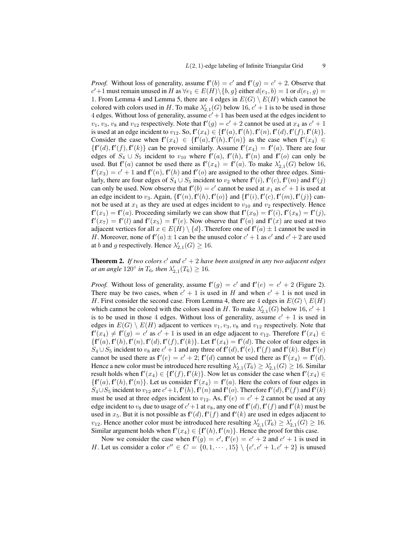*Proof.* Without loss of generality, assume  $f'(b) = c'$  and  $f'(g) = c' + 2$ . Observe that  $c'$ +1 must remain unused in H as  $\forall e_1 \in E(H) \setminus \{b, g\}$  either  $d(e_1, b) = 1$  or  $d(e_1, g)$  = 1. From Lemma 4 and Lemma 5, there are 4 edges in  $E(G) \setminus E(H)$  which cannot be colored with colors used in H. To make  $\lambda'_{2,1}(G)$  below 16,  $c' + 1$  is to be used in those 4 edges. Without loss of generality, assume  $c' + 1$  has been used at the edges incident to  $v_1, v_3, v_8$  and  $v_{12}$  respectively. Note that  $f'(g) = c' + 2$  cannot be used at  $x_4$  as  $c' + 1$ is used at an edge incident to  $v_{12}$ . So,  $f'(x_4) \in \{f'(a), f'(h), f'(n), f'(d), f'(f), f'(k)\}.$ Consider the case when  $f'(x_4) \in \{f'(a), f'(h), f'(n)\}$  as the case when  $f'(x_4) \in$  $\{f'(d), f'(f), f'(k)\}\)$  can be proved similarly. Assume  $f'(x_4) = f'(a)$ . There are four edges of  $S_4 \cup S_5$  incident to  $v_{10}$  where  $f'(a)$ ,  $f'(h)$ ,  $f'(n)$  and  $f'(o)$  can only be used. But  $f'(a)$  cannot be used there as  $f'(x_4) = f'(a)$ . To make  $\lambda'_{2,1}(G)$  below 16,  $f'(x_3) = c' + 1$  and  $f'(n)$ ,  $f'(h)$  and  $f'(o)$  are assigned to the other three edges. Similarly, there are four edges of  $S_4 \cup S_5$  incident to  $v_2$  where  $f'(i)$ ,  $f'(c)$ ,  $f'(m)$  and  $f'(j)$ can only be used. Now observe that  $f'(b) = c'$  cannot be used at  $x_1$  as  $c' + 1$  is used at an edge incident to  $v_3$ . Again,  $\{f'(n), f'(n), f'(o)\}$  and  $\{f'(i), f'(c), f'(m), f'(j)\}$  cannot be used at  $x_1$  as they are used at edges incident to  $v_{10}$  and  $v_2$  respectively. Hence  $f'(x_1) = f'(a)$ . Proceeding similarly we can show that  $f'(x_9) = f'(i)$ ,  $f'(x_8) = f'(j)$ ,  $f'(x_7) = f'(l)$  and  $f'(x_5) = f'(e)$ . Now observe that  $f'(a)$  and  $f'(x)$  are used at two adjacent vertices for all  $x \in E(H) \setminus \{d\}$ . Therefore one of  $f'(a) \pm 1$  cannot be used in H. Moreover, none of  $f'(a) \pm 1$  can be the unused color  $c' + 1$  as  $c'$  and  $c' + 2$  are used at b and g respectively. Hence  $\lambda'_{2,1}(G) \ge 16$ .

**Theorem 2.** If two colors  $c'$  and  $c' + 2$  have been assigned in any two adjacent edges *at an angle*  $120^{\circ}$  *in*  $T_6$ *, then*  $\lambda'_{2,1}(T_6) \ge 16$ *.* 

*Proof.* Without loss of generality, assume  $f'(g) = c'$  and  $f'(e) = c' + 2$  (Figure 2). There may be two cases, when  $c' + 1$  is used in H and when  $c' + 1$  is not used in H. First consider the second case. From Lemma 4, there are 4 edges in  $E(G) \setminus E(H)$ which cannot be colored with the colors used in H. To make  $\lambda'_{2,1}(G)$  below 16,  $c' + 1$ is to be used in those 4 edges. Without loss of generality, assume  $c' + 1$  is used in edges in  $E(G) \setminus E(H)$  adjacent to vertices  $v_1, v_3, v_8$  and  $v_{12}$  respectively. Note that  $f'(x_4) \neq f'(g) = c'$  as  $c' + 1$  is used in an edge adjacent to  $v_{12}$ . Therefore  $f'(x_4) \in$  $\{f'(a), f'(h), f'(n), f'(d), f'(f), f'(k)\}.$  Let  $f'(x_4) = f'(d)$ . The color of four edges in  $S_4 \cup S_5$  incident to  $v_8$  are  $c' + 1$  and any three of  $f'(d)$ ,  $f'(e)$ ,  $f'(f)$  and  $f'(k)$ . But  $f'(e)$ cannot be used there as  $f'(e) = c' + 2$ ;  $f'(d)$  cannot be used there as  $f'(x_4) = f'(d)$ . Hence a new color must be introduced here resulting  $\lambda'_{2,1}(T_6) \geq \lambda'_{2,1}(G) \geq 16$ . Similar result holds when  $f'(x_4) \in \{f'(f), f'(k)\}\)$ . Now let us consider the case when  $f'(x_4) \in$  $\{f'(a), f'(h), f'(n)\}.$  Let us consider  $f'(x_4) = f'(a)$ . Here the colors of four edges in  $S_4 \cup S_5$  incident to  $v_{12}$  are  $c' + 1$ ,  $f'(h)$ ,  $f'(n)$  and  $f'(o)$ . Therefore  $f'(d)$ ,  $f'(f)$  and  $f'(k)$ must be used at three edges incident to  $v_{12}$ . As,  $f'(e) = c' + 2$  cannot be used at any edge incident to  $v_8$  due to usage of  $c' + 1$  at  $v_8$ , any one of  $f'(d)$ ,  $f'(f)$  and  $f'(k)$  must be used in  $x_5$ . But it is not possible as  $f'(d)$ ,  $f'(f)$  and  $f'(k)$  are used in edges adjacent to  $v_{12}$ . Hence another color must be introduced here resulting  $\lambda'_{2,1}(T_6) \geq \lambda'_{2,1}(G) \geq 16$ . Similar argument holds when  $f'(x_4) \in \{f'(h), f'(n)\}\)$ . Hence the proof for this case.

Now we consider the case when  $f'(g) = c'$ ,  $f'(e) = c' + 2$  and  $c' + 1$  is used in H. Let us consider a color  $c'' \in C = \{0, 1, \dots, 15\} \setminus \{c', c' + 1, c' + 2\}$  is unused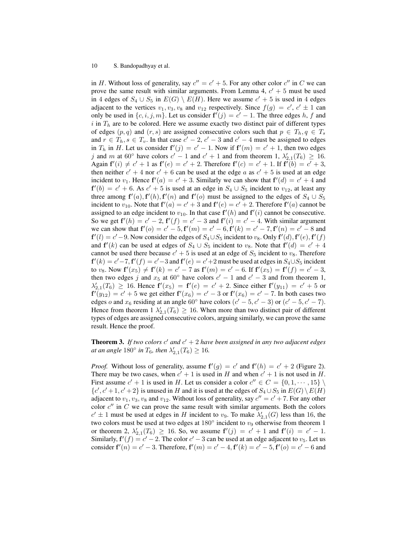in H. Without loss of generality, say  $c'' = c' + 5$ . For any other color  $c''$  in C we can prove the same result with similar arguments. From Lemma 4,  $c' + 5$  must be used in 4 edges of  $S_4 \cup S_5$  in  $E(G) \setminus E(H)$ . Here we assume  $c' + 5$  is used in 4 edges adjacent to the vertices  $v_1, v_3, v_8$  and  $v_{12}$  respectively. Since  $f(g) = c', c' \pm 1$  can only be used in  $\{c, i, j, m\}$ . Let us consider  $f'(j) = c' - 1$ . The three edges h, f and i in  $T<sub>h</sub>$  are to be colored. Here we assume exactly two distinct pair of different types of edges  $(p, q)$  and  $(r, s)$  are assigned consecutive colors such that  $p \in T_h, q \in T_s$ and  $r \in T_h$ ,  $s \in T_v$ . In that case  $c' - 2$ ,  $c' - 3$  and  $c' - 4$  must be assigned to edges in  $T_h$  in H. Let us consider  $f'(j) = c' - 1$ . Now if  $f'(m) = c' + 1$ , then two edges j and m at 60 $\degree$  have colors  $c' - 1$  and  $c' + 1$  and from theorem 1,  $\lambda'_{2,1}(T_6) \geq 16$ . Again  $f'(i) \neq c' + 1$  as  $f'(e) = c' + 2$ . Therefore  $f'(c) = c' + 1$ . If  $f'(b) = c' + 3$ , then neither  $c' + 4$  nor  $c' + 6$  can be used at the edge a as  $c' + 5$  is used at an edge incident to  $v_1$ . Hence  $f'(a) = c' + 3$ . Similarly we can show that  $f'(a) = c' + 4$  and  $f'(b) = c' + 6$ . As  $c' + 5$  is used at an edge in  $S_4 \cup S_5$  incident to  $v_{12}$ , at least any three among  $f'(a)$ ,  $f'(h)$ ,  $f'(n)$  and  $f'(o)$  must be assigned to the edges of  $S_4 \cup S_5$ incident to  $v_{10}$ . Note that  $f'(a) = c' + 3$  and  $f'(e) = c' + 2$ . Therefore  $f'(a)$  cannot be assigned to an edge incident to  $v_{10}$ . In that case  $f'(h)$  and  $f'(i)$  cannot be consecutive. So we get  $f'(h) = c' - 2$ ,  $f'(f) = c' - 3$  and  $f'(i) = c' - 4$ . With similar argument we can show that  $f'(o) = c' - 5$ ,  $f'(m) = c' - 6$ ,  $f'(k) = c' - 7$ ,  $f'(n) = c' - 8$  and  $f'(l) = c' - 9$ . Now consider the edges of  $S_4 \cup S_5$  incident to  $v_8$ . Only  $f'(d)$ ,  $f'(e)$ ,  $f'(f)$ and  $f'(k)$  can be used at edges of  $S_4 \cup S_5$  incident to  $v_8$ . Note that  $f'(d) = c' + 4$ cannot be used there because  $c' + 5$  is used at an edge of  $S_5$  incident to  $v_8$ . Therefore  $f'(k) = c' - 7$ ,  $f'(f) = c' - 3$  and  $f'(e) = c' + 2$  must be used at edges in  $S_4 \cup S_5$  incident to  $v_8$ . Now  $f'(x_5) \neq f'(k) = c' - 7$  as  $f'(m) = c' - 6$ . If  $f'(x_5) = f'(f) = c' - 3$ , then two edges j and  $x_5$  at 60 $\degree$  have colors  $c' - 1$  and  $c' - 3$  and from theorem 1,  $\lambda'_{2,1}(T_6) \geq 16$ . Hence  $f'(x_5) = f'(e) = c' + 2$ . Since either  $f'(y_{11}) = c' + 5$  or  ${\bf f}^{\prime}(y_{12})=c^{\prime}+5$  we get either  ${\bf f}^{\prime}(x_{6})=c^{\prime}-3$  or  ${\bf f}^{\prime}(x_{6})=c^{\prime}-7$ . In both cases two edges o and  $x_6$  residing at an angle 60° have colors  $(c' - 5, c' - 3)$  or  $(c' - 5, c' - 7)$ . Hence from theorem  $1 \lambda'_{2,1}(T_6) \geq 16$ . When more than two distinct pair of different types of edges are assigned consecutive colors, arguing similarly, we can prove the same result. Hence the proof.

**Theorem 3.** If two colors  $c'$  and  $c' + 2$  have been assigned in any two adjacent edges *at an angle*  $180^{\circ}$  *in*  $T_6$ *, then*  $\lambda'_{2,1}(T_6) \ge 16$ *.* 

*Proof.* Without loss of generality, assume  $f'(g) = c'$  and  $f'(h) = c' + 2$  (Figure 2). There may be two cases, when  $c' + 1$  is used in H and when  $c' + 1$  is not used in H. First assume  $c' + 1$  is used in H. Let us consider a color  $c'' \in C = \{0, 1, \dots, 15\} \setminus C$  $\{c', c' + 1, c' + 2\}$  is unused in H and it is used at the edges of  $S_4 \cup S_5$  in  $E(G) \setminus E(H)$ adjacent to  $v_1, v_3, v_8$  and  $v_{12}$ . Without loss of generality, say  $c'' = c' + 7$ . For any other color  $c''$  in  $C$  we can prove the same result with similar arguments. Both the colors  $c' \pm 1$  must be used at edges in H incident to  $v_9$ . To make  $\lambda'_{2,1}(G)$  less than 16, the two colors must be used at two edges at  $180^\circ$  incident to  $v_9$  otherwise from theorem 1 or theorem 2,  $\lambda'_{2,1}(T_6) \ge 16$ . So, we assume  $f'(j) = c' + 1$  and  $f'(i) = c' - 1$ . Similarly,  $f'(f) = c' - 2$ . The color  $c' - 3$  can be used at an edge adjacent to  $v_5$ . Let us consider  $f'(n) = c' - 3$ . Therefore,  $f'(m) = c' - 4$ ,  $f'(k) = c' - 5$ ,  $f'(o) = c' - 6$  and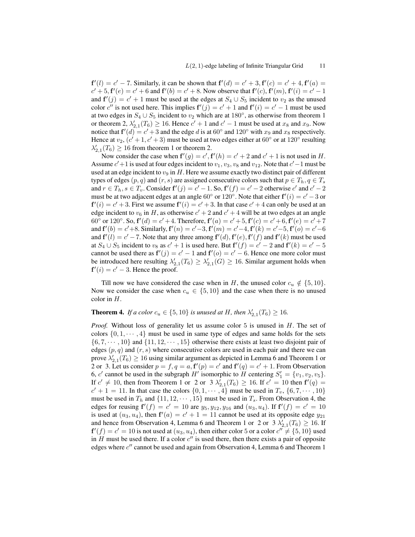$f'(l) = c' - 7$ . Similarly, it can be shown that  $f'(d) = c' + 3$ ,  $f'(c) = c' + 4$ ,  $f'(a) = 0$  $c' + 5$ ,  $f'(e) = c' + 6$  and  $f'(b) = c' + 8$ . Now observe that  $f'(c)$ ,  $f'(m)$ ,  $f'(i) = c' - 1$ and  $f'(j) = c' + 1$  must be used at the edges at  $S_4 \cup S_5$  incident to  $v_2$  as the unused color c' is not used here. This implies  $f'(j) = c' + 1$  and  $f'(i) = c' - 1$  must be used at two edges in  $S_4 \cup S_5$  incident to  $v_2$  which are at 180 $\degree$ , as otherwise from theorem 1 or theorem 2,  $\lambda'_{2,1}(T_6) \ge 16$ . Hence  $c' + 1$  and  $c' - 1$  must be used at  $x_8$  and  $x_9$ . Now notice that  $f'(d) = c' + 3$  and the edge d is at 60 $\degree$  and 120 $\degree$  with  $x_9$  and  $x_8$  respectively. Hence at  $v_2$ ,  $(c' + 1, c' + 3)$  must be used at two edges either at 60 $\degree$  or at 120 $\degree$  resulting  $\lambda'_{2,1}(T_6) \geq 16$  from theorem 1 or theorem 2.

Now consider the case when  $f'(g) = c'$ ,  $f'(h) = c' + 2$  and  $c' + 1$  is not used in H. Assume  $c' + 1$  is used at four edges incident to  $v_1, v_3, v_8$  and  $v_{12}$ . Note that  $c' - 1$  must be used at an edge incident to  $v_9$  in H. Here we assume exactly two distinct pair of different types of edges  $(p, q)$  and  $(r, s)$  are assigned consecutive colors such that  $p \in T_h$ ,  $q \in T_s$ and  $r \in T_h$ ,  $s \in T_v$ . Consider  $f'(j) = c' - 1$ . So,  $f'(f) = c' - 2$  otherwise  $c'$  and  $c' - 2$ must be at two adjacent edges at an angle 60 $^{\circ}$  or 120 $^{\circ}$ . Note that either  $f'(i) = c' - 3$  or  $f'(i) = c' + 3$ . First we assume  $f'(i) = c' + 3$ . In that case  $c' + 4$  can only be used at an edge incident to  $v_6$  in H, as otherwise  $c' + 2$  and  $c' + 4$  will be at two edges at an angle 60° or 120°. So,  $f'(d) = c' + 4$ . Therefore,  $f'(a) = c' + 5$ ,  $f'(c) = c' + 6$ ,  $f'(e) = c' + 7$ and  $f'(b) = c' + 8$ . Similarly,  $f'(n) = c' - 3$ ,  $f'(m) = c' - 4$ ,  $f'(k) = c' - 5$ ,  $f'(o) = c' - 6$ and  $f'(l) = c' - 7$ . Note that any three among  $f'(d)$ ,  $f'(e)$ ,  $f'(f)$  and  $f'(k)$  must be used at  $S_4 \cup S_5$  incident to  $v_8$  as  $c' + 1$  is used here. But  $f'(f) = c' - 2$  and  $f'(k) = c' - 5$ cannot be used there as  $f'(j) = c' - 1$  and  $f'(o) = c' - 6$ . Hence one more color must be introduced here resulting  $\lambda'_{2,1}(T_6) \geq \lambda'_{2,1}(G) \geq 16$ . Similar argument holds when  $f'(i) = c' - 3$ . Hence the proof.

Till now we have considered the case when in H, the unused color  $c_u \notin \{5, 10\}.$ Now we consider the case when  $c_u \in \{5, 10\}$  and the case when there is no unused color in H.

## **Theorem 4.** If a color  $c_u \in \{5, 10\}$  is unused at H, then  $\lambda'_{2,1}(T_6) \geq 16$ .

*Proof.* Without loss of generality let us assume color 5 is unused in H. The set of colors  $\{0, 1, \dots, 4\}$  must be used in same type of edges and same holds for the sets  $\{6, 7, \dots, 10\}$  and  $\{11, 12, \dots, 15\}$  otherwise there exists at least two disjoint pair of edges  $(p, q)$  and  $(r, s)$  where consecutive colors are used in each pair and there we can prove  $\lambda'_{2,1}(T_6) \geq 16$  using similar argument as depicted in Lemma 6 and Theorem 1 or 2 or 3. Let us consider  $p = f, q = a, f'(p) = c'$  and  $f'(q) = c' + 1$ . From Observation 6, c' cannot be used in the subgraph H' isomorphic to H centering  $S_1' = \{v_1, v_2, v_5\}$ . If  $c' \neq 10$ , then from Theorem 1 or 2 or 3  $\lambda'_{2,1}(T_6) \geq 16$ . If  $c' = 10$  then  $f'(q) =$  $c' + 1 = 11$ . In that case the colors  $\{0, 1, \dots, 4\}$  must be used in  $T_v$ ,  $\{6, 7, \dots, 10\}$ must be used in  $T_h$  and  $\{11, 12, \dots, 15\}$  must be used in  $T_s$ . From Observation 4, the edges for reusing  $f'(f) = c' = 10$  are  $y_5, y_{12}, y_{16}$  and  $(u_3, u_4)$ . If  $f'(f) = c' = 10$ is used at  $(u_3, u_4)$ , then  $f'(a) = c' + 1 = 11$  cannot be used at its opposite edge  $y_{21}$ and hence from Observation 4, Lemma 6 and Theorem 1 or 2 or  $3 \lambda'_{2,1}(T_6) \ge 16$ . If  ${\bf f} '(f) = c' = 10$  is not used at  $(u_3, u_4)$ , then either color 5 or a color  $c'' \neq \{5, 10\}$  used in  $H$  must be used there. If a color  $c''$  is used there, then there exists a pair of opposite edges where  $c''$  cannot be used and again from Observation 4, Lemma 6 and Theorem 1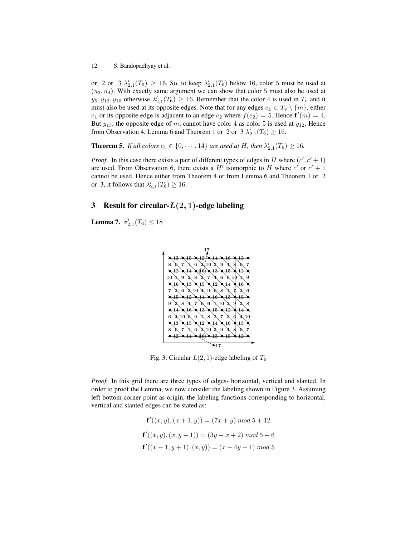or 2 or 3  $\lambda'_{2,1}(T_6) \ge 16$ . So, to keep  $\lambda'_{2,1}(T_6)$  below 16, color 5 must be used at  $(u_3, u_4)$ . With exactly same argument we can show that color 5 must also be used at  $y_5, y_{12}, y_{16}$  otherwise  $\lambda'_{2,1}(T_6) \ge 16$ . Remember that the color 4 is used in  $T_v$  and it must also be used at its opposite edges. Note that for any edges  $e_1 \in T_v \setminus \{m\}$ , either  $e_1$  or its opposite edge is adjacent to an edge  $e_2$  where  $f(e_2) = 5$ . Hence  $f'(m) = 4$ . But  $y_{13}$ , the opposite edge of m, cannot have color 4 as color 5 is used at  $y_{12}$ . Hence from Observation 4, Lemma 6 and Theorem 1 or 2 or  $3 \lambda'_{2,1}(T_6) \ge 16$ .

**Theorem 5.** If all colors  $c_1 \in \{0, \dots, 14\}$  are used at H, then  $\lambda'_{2,1}(T_6) \geq 16$ .

*Proof.* In this case there exists a pair of different types of edges in H where  $(c', c' + 1)$ are used. From Observation 6, there exists a  $H'$  isomorphic to H where  $c'$  or  $c' + 1$ cannot be used. Hence either from Theorem 4 or from Lemma 6 and Theorem 1 or 2 or 3, it follows that  $\lambda'_{2,1}(T_6) \ge 16$ .

## 3 Result for circular- $L(2, 1)$ -edge labeling

**Lemma 7.**  $\sigma'_{2,1}(T_6) \leq 18$ 



Fig. 3: Circular  $L(2, 1)$ -edge labeling of  $T_6$ 

*Proof.* In this grid there are three types of edges- horizontal, vertical and slanted. In order to proof the Lemma, we now consider the labeling shown in Figure 3. Assuming left bottom corner point as origin, the labeling functions corresponding to horizontal, vertical and slanted edges can be stated as:

$$
\mathbf{f}'((x,y),(x+1,y)) = (7x+y) \mod 5 + 12
$$
  

$$
\mathbf{f}'((x,y),(x,y+1)) = (3y-x+2) \mod 5 + 6
$$
  

$$
\mathbf{f}'((x-1,y+1),(x,y)) = (x+4y-1) \mod 5
$$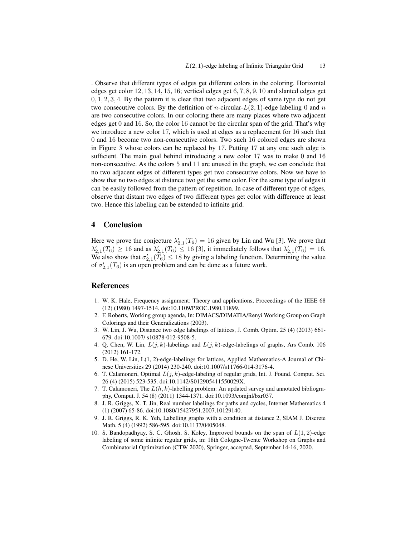. Observe that different types of edges get different colors in the coloring. Horizontal edges get color 12, 13, 14, 15, 16; vertical edges get 6, 7, 8, 9, 10 and slanted edges get  $0, 1, 2, 3, 4$ . By the pattern it is clear that two adjacent edges of same type do not get two consecutive colors. By the definition of *n*-circular- $L(2, 1)$ -edge labeling 0 and *n* are two consecutive colors. In our coloring there are many places where two adjacent edges get 0 and 16. So, the color 16 cannot be the circular span of the grid. That's why we introduce a new color 17, which is used at edges as a replacement for 16 such that 0 and 16 become two non-consecutive colors. Two such 16 colored edges are shown in Figure 3 whose colors can be replaced by 17. Putting 17 at any one such edge is sufficient. The main goal behind introducing a new color 17 was to make 0 and 16 non-consecutive. As the colors 5 and 11 are unused in the graph, we can conclude that no two adjacent edges of different types get two consecutive colors. Now we have to show that no two edges at distance two get the same color. For the same type of edges it can be easily followed from the pattern of repetition. In case of different type of edges, observe that distant two edges of two different types get color with difference at least two. Hence this labeling can be extended to infinite grid.

### 4 Conclusion

Here we prove the conjecture  $\lambda'_{2,1}(T_6) = 16$  given by Lin and Wu [3]. We prove that  $\lambda'_{2,1}(T_6) \ge 16$  and as  $\lambda'_{2,1}(T_6) \le 16$  [3], it immediately follows that  $\lambda'_{2,1}(T_6) = 16$ . We also show that  $\sigma'_{2,1}(T_6) \leq 18$  by giving a labeling function. Determining the value of  $\sigma'_{2,1}(T_6)$  is an open problem and can be done as a future work.

#### References

- 1. W. K. Hale, Frequency assignment: Theory and applications, Proceedings of the IEEE 68 (12) (1980) 1497-1514. doi:10.1109/PROC.1980.11899.
- 2. F. Roberts, Working group agenda, In: DIMACS/DIMATIA/Renyi Working Group on Graph Colorings and their Generalizations (2003).
- 3. W. Lin, J. Wu, Distance two edge labelings of lattices, J. Comb. Optim. 25 (4) (2013) 661- 679. doi:10.1007/ s10878-012-9508-5.
- 4. Q. Chen, W. Lin,  $L(j, k)$ -labelings and  $L(j, k)$ -edge-labelings of graphs, Ars Comb. 106 (2012) 161-172.
- 5. D. He, W. Lin, L(1, 2)-edge-labelings for lattices, Applied Mathematics-A Journal of Chinese Universities 29 (2014) 230-240. doi:10.1007/s11766-014-3176-4.
- 6. T. Calamoneri, Optimal  $L(j, k)$ -edge-labeling of regular grids, Int. J. Found. Comput. Sci. 26 (4) (2015) 523-535. doi:10.1142/S012905411550029X.
- 7. T. Calamoneri, The  $L(h, k)$ -labelling problem: An updated survey and annotated bibliography, Comput. J. 54 (8) (2011) 1344-1371. doi:10.1093/comjnl/bxr037.
- 8. J. R. Griggs, X. T. Jin, Real number labelings for paths and cycles, Internet Mathematics 4 (1) (2007) 65-86. doi:10.1080/15427951.2007.10129140.
- 9. J. R. Griggs, R. K. Yeh, Labelling graphs with a condition at distance 2, SIAM J. Discrete Math. 5 (4) (1992) 586-595. doi:10.1137/0405048.
- 10. S. Bandopadhyay, S. C. Ghosh, S. Koley, Improved bounds on the span of  $L(1, 2)$ -edge labeling of some infinite regular grids, in: 18th Cologne-Twente Workshop on Graphs and Combinatorial Optimization (CTW 2020), Springer, accepted, September 14-16, 2020.